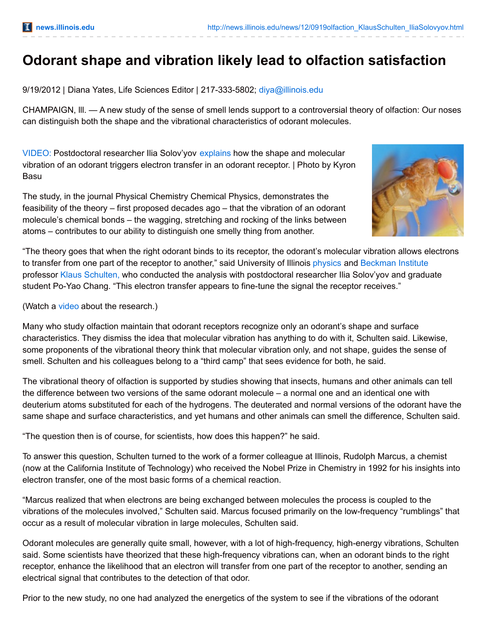## **Odorant shape and vibration likely lead to olfaction satisfaction**

9/19/2012 | Diana Yates, Life Sciences Editor | 217-333-5802; [diya@illinois.edu](mailto:diya@illinois.edu)

CHAMPAIGN, lll. — A new study of the sense of smell lends support to a controversial theory of olfaction: Our noses can distinguish both the shape and the vibrational characteristics of odorant molecules.

[VIDEO:](http://www.youtube.com/watch?v=Oe5PW2KqImI) Postdoctoral researcher Ilia Solov'yov [explains](http://www.youtube.com/watch?v=Oe5PW2KqImI) how the shape and molecular vibration of an odorant triggers electron transfer in an odorant receptor. | Photo by Kyron Basu

The study, in the journal Physical Chemistry Chemical Physics, demonstrates the feasibility of the theory – first proposed decades ago – that the vibration of an odorant molecule's chemical bonds – the wagging, stretching and rocking of the links between atoms – contributes to our ability to distinguish one smelly thing from another.



"The theory goes that when the right odorant binds to its receptor, the odorant's molecular vibration allows electrons to transfer from one part of the receptor to another," said University of Illinois [physics](http://physics.illinois.edu/) and [Beckman](http://www.beckman.illinois.edu/) Institute professor Klaus [Schulten,](http://www.ks.uiuc.edu/~kschulte/) who conducted the analysis with postdoctoral researcher Ilia Solov'yov and graduate student Po-Yao Chang. "This electron transfer appears to fine-tune the signal the receptor receives."

(Watch a [video](http://www.youtube.com/watch?v=Oe5PW2KqImI) about the research.)

Many who study olfaction maintain that odorant receptors recognize only an odorant's shape and surface characteristics. They dismiss the idea that molecular vibration has anything to do with it, Schulten said. Likewise, some proponents of the vibrational theory think that molecular vibration only, and not shape, guides the sense of smell. Schulten and his colleagues belong to a "third camp" that sees evidence for both, he said.

The vibrational theory of olfaction is supported by studies showing that insects, humans and other animals can tell the difference between two versions of the same odorant molecule – a normal one and an identical one with deuterium atoms substituted for each of the hydrogens. The deuterated and normal versions of the odorant have the same shape and surface characteristics, and yet humans and other animals can smell the difference, Schulten said.

"The question then is of course, for scientists, how does this happen?" he said.

To answer this question, Schulten turned to the work of a former colleague at Illinois, Rudolph Marcus, a chemist (now at the California Institute of Technology) who received the Nobel Prize in Chemistry in 1992 for his insights into electron transfer, one of the most basic forms of a chemical reaction.

"Marcus realized that when electrons are being exchanged between molecules the process is coupled to the vibrations of the molecules involved," Schulten said. Marcus focused primarily on the low-frequency "rumblings" that occur as a result of molecular vibration in large molecules, Schulten said.

Odorant molecules are generally quite small, however, with a lot of high-frequency, high-energy vibrations, Schulten said. Some scientists have theorized that these high-frequency vibrations can, when an odorant binds to the right receptor, enhance the likelihood that an electron will transfer from one part of the receptor to another, sending an electrical signal that contributes to the detection of that odor.

Prior to the new study, no one had analyzed the energetics of the system to see if the vibrations of the odorant